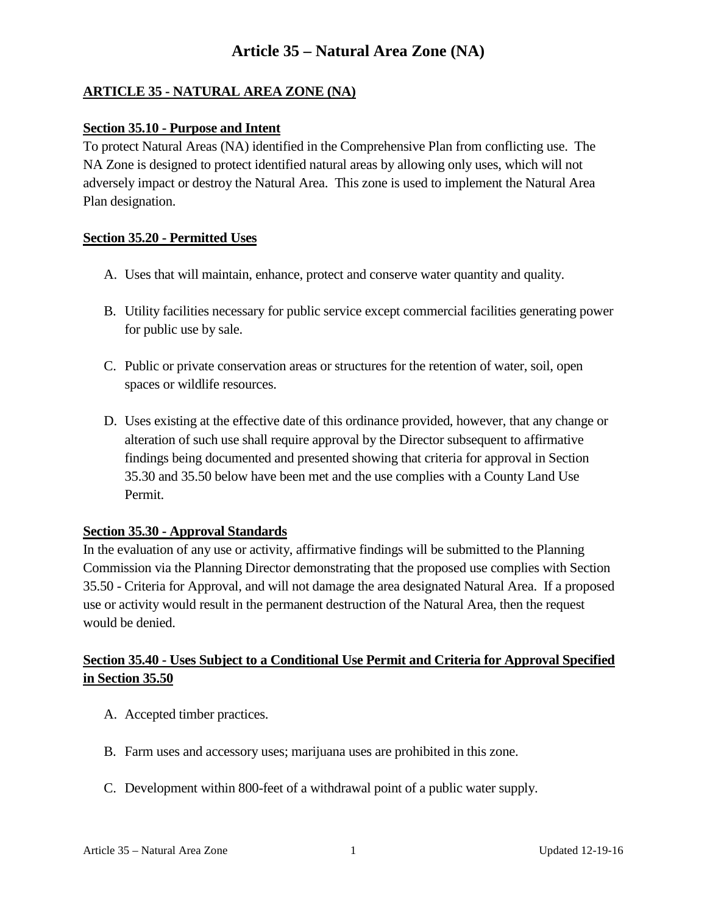# **Article 35 – Natural Area Zone (NA)**

### **ARTICLE 35 - NATURAL AREA ZONE (NA)**

### **Section 35.10 - Purpose and Intent**

To protect Natural Areas (NA) identified in the Comprehensive Plan from conflicting use. The NA Zone is designed to protect identified natural areas by allowing only uses, which will not adversely impact or destroy the Natural Area. This zone is used to implement the Natural Area Plan designation.

### **Section 35.20 - Permitted Uses**

- A. Uses that will maintain, enhance, protect and conserve water quantity and quality.
- B. Utility facilities necessary for public service except commercial facilities generating power for public use by sale.
- C. Public or private conservation areas or structures for the retention of water, soil, open spaces or wildlife resources.
- D. Uses existing at the effective date of this ordinance provided, however, that any change or alteration of such use shall require approval by the Director subsequent to affirmative findings being documented and presented showing that criteria for approval in Section 35.30 and 35.50 below have been met and the use complies with a County Land Use Permit.

### **Section 35.30 - Approval Standards**

In the evaluation of any use or activity, affirmative findings will be submitted to the Planning Commission via the Planning Director demonstrating that the proposed use complies with Section 35.50 - Criteria for Approval, and will not damage the area designated Natural Area. If a proposed use or activity would result in the permanent destruction of the Natural Area, then the request would be denied.

### **Section 35.40 - Uses Subject to a Conditional Use Permit and Criteria for Approval Specified in Section 35.50**

- A. Accepted timber practices.
- B. Farm uses and accessory uses; marijuana uses are prohibited in this zone.
- C. Development within 800-feet of a withdrawal point of a public water supply.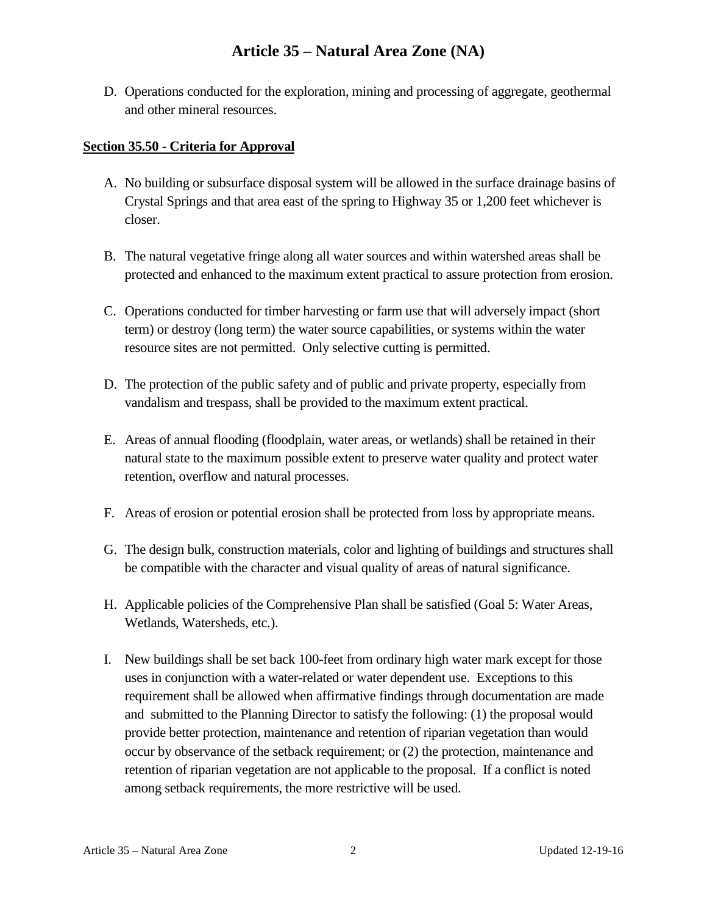## **Article 35 – Natural Area Zone (NA)**

D. Operations conducted for the exploration, mining and processing of aggregate, geothermal and other mineral resources.

### **Section 35.50 - Criteria for Approval**

- A. No building or subsurface disposal system will be allowed in the surface drainage basins of Crystal Springs and that area east of the spring to Highway 35 or 1,200 feet whichever is closer.
- B. The natural vegetative fringe along all water sources and within watershed areas shall be protected and enhanced to the maximum extent practical to assure protection from erosion.
- C. Operations conducted for timber harvesting or farm use that will adversely impact (short term) or destroy (long term) the water source capabilities, or systems within the water resource sites are not permitted. Only selective cutting is permitted.
- D. The protection of the public safety and of public and private property, especially from vandalism and trespass, shall be provided to the maximum extent practical.
- E. Areas of annual flooding (floodplain, water areas, or wetlands) shall be retained in their natural state to the maximum possible extent to preserve water quality and protect water retention, overflow and natural processes.
- F. Areas of erosion or potential erosion shall be protected from loss by appropriate means.
- G. The design bulk, construction materials, color and lighting of buildings and structures shall be compatible with the character and visual quality of areas of natural significance.
- H. Applicable policies of the Comprehensive Plan shall be satisfied (Goal 5: Water Areas, Wetlands, Watersheds, etc.).
- I. New buildings shall be set back 100**-**feet from ordinary high water mark except for those uses in conjunction with a water-related or water dependent use. Exceptions to this requirement shall be allowed when affirmative findings through documentation are made and submitted to the Planning Director to satisfy the following: (1) the proposal would provide better protection, maintenance and retention of riparian vegetation than would occur by observance of the setback requirement; or (2) the protection, maintenance and retention of riparian vegetation are not applicable to the proposal. If a conflict is noted among setback requirements, the more restrictive will be used.